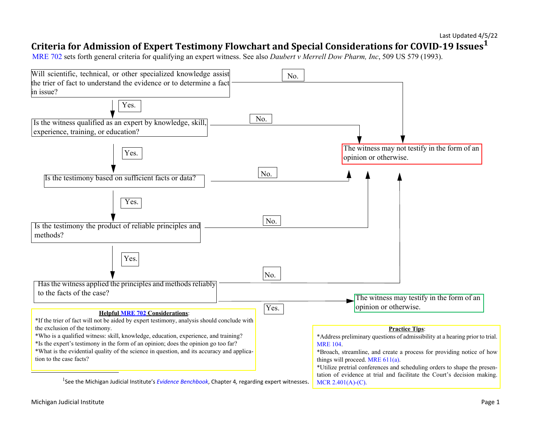# **Criteria for Admission of Expert Testimony Flowchart and Special Considerations for COVID-19 Issues<sup>1</sup>**

[MRE 702](https://courts.michigan.gov/siteassets/rules-instructions-administrative-orders/rules-of-evidence/michigan-rules-of-evidence.pdf) sets forth general criteria for qualifying an expert witness. See also *Daubert v Merrell Dow Pharm, Inc*, 509 US 579 (1993).

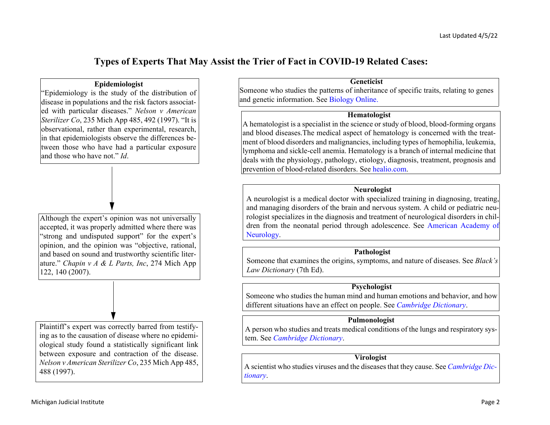# **Types of Experts That May Assist the Trier of Fact in COVID-19 Related Cases:**

#### **Epidemiologist**

"Epidemiology is the study of the distribution of disease in populations and the risk factors associated with particular diseases." *Nelson v American Sterilizer Co*, 235 Mich App 485, 492 (1997). "It is observational, rather than experimental, research, in that epidemiologists observe the differences between those who have had a particular exposure and those who have not." *Id*.



Plaintiff's expert was correctly barred from testifying as to the causation of disease where no epidemiological study found a statistically significant link between exposure and contraction of the disease. *Nelson v American Sterilizer Co*, 235 Mich App 485, 488 (1997).

#### **Geneticist**

Someone who studies the patterns of inheritance of specific traits, relating to genes and genetic information. See [Biology Online.](https://www.biologyonline.com/dictionary/genetics)

#### **Hematologist**

A hematologist is a specialist in the science or study of blood, blood-forming organs and blood diseases.The medical aspect of hematology is concerned with the treatment of blood disorders and malignancies, including types of hemophilia, leukemia, lymphoma and sickle-cell anemia. Hematology is a branch of internal medicine that deals with the physiology, pathology, etiology, diagnosis, treatment, prognosis and prevention of blood-related disorders. See [healio.com](https://www.healio.com/news/hematology-oncology/20120331/what-is-a-hematologist).

### **Neurologist**

A neurologist is a medical doctor with specialized training in diagnosing, treating, and managing disorders of the brain and nervous system. A child or pediatric neurologist specializes in the diagnosis and treatment of neurological disorders in children from the neonatal period through adolescence. See [American Academy of](https://www.aan.com/tools-and-resources/medical-students/careers-in-neurology/what-is-a-neurologist/) [Neurology](https://www.aan.com/tools-and-resources/medical-students/careers-in-neurology/what-is-a-neurologist/).

## **Pathologist**

Someone that examines the origins, symptoms, and nature of diseases. See *Black's Law Dictionary* (7th Ed).

### **Psychologist**

Someone who studies the human mind and human emotions and behavior, and how different situations have an effect on people. See *[Cambridge Dictionary](https://dictionary.cambridge.org/us/dictionary/english/psychologist)*.

## **Pulmonologist**

A person who studies and treats medical conditions of the lungs and respiratory system. See *[Cambridge Dictionary](https://dictionary.cambridge.org/us/dictionary/english/pulmonologist)*.

### **Virologist**

A scientist who studies viruses and the diseases that they cause. See *[Cambridge Dic](https://dictionary.cambridge.org/us/dictionary/english/virologist)[tionary](https://dictionary.cambridge.org/us/dictionary/english/virologist)*.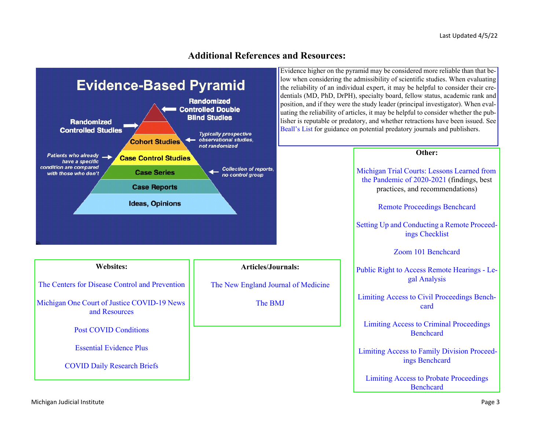# **Additional References and Resources:**



Evidence higher on the pyramid may be considered more reliable than that below when considering the admissibility of scientific studies. When evaluating the reliability of an individual expert, it may be helpful to consider their credentials (MD, PhD, DrPH), specialty board, fellow status, academic rank and position, and if they were the study leader (principal investigator). When evaluating the reliability of articles, it may be helpful to consider whether the publisher is reputable or predatory, and whether retractions have been issued. See [Beall's List](https://beallslist.net/) for guidance on potential predatory journals and publishers.

#### **Other:**

[Michigan Trial Courts: Lessons Learned from](https://www.courts.michigan.gov/4afc1e/siteassets/covid/lessons-learned/final-report-lessons-learned-findings-best-practices-and-recommendations-111921.pdf)  [the Pandemic of 2020-2021](https://www.courts.michigan.gov/4afc1e/siteassets/covid/lessons-learned/final-report-lessons-learned-findings-best-practices-and-recommendations-111921.pdf) (findings, best practices, and recommendations)

[Remote Proceedings Benchcard](https://mjieducation.mi.gov/training/RemoteProceeedingsBenchcardResponsiveHTML5/#t=Remote_Proceeedings_Benchcard.htm)

[Setting Up and Conducting a Remote Proceed](https://www.mjieducation.mi.gov/training/SettingUpandConductingaRemoteProceedingChecklistResponsiveHTML5/#t=Setting_Up_and_Conducting_a_Remote_Proceeding_Checklist.htm)ings Checklist

[Zoom 101 Benchcard](https://www.mjieducation.mi.gov/documents/administrative-qrms/1235-zoom-101-benchcard/file)

[Public Right to Access Remote Hearings - Le](https://www.mjieducation.mi.gov/training/PublicRighttoAccessLegalAnalysisResponsiveHTML5/#t=Public_Right_to_Access_Remote_Hearings.htm)gal Analysis

[Limiting Access to Civil Proceedings Bench](https://www.mjieducation.mi.gov/training/LimitingCivilProceedingsBenchcardResponsiveHTML5/#t=Limiting_Civil_Proceedings_Benchcard.htm)card

[Limiting Access to Criminal Proceedings](https://www.mjieducation.mi.gov/training/LimitingCriminalProceedingsBenchcardResponsiveHTML5/#t=Limiting_Criminal_Proceedings_Benchcard.htm)  Benchcard

 [Limiting Access to Family Division Proceed](https://www.mjieducation.mi.gov/training/LimitingFamilyProceedingsBenchcardResponsiveHTML5/#t=Limiting_Family_Proceedings_Benchcard.htm)ings Benchcard

[Limiting Access to Probate Proceedings](https://mjieducation.mi.gov/training/LimitingProbateProceedingsBenchcardResponsiveHTML5/#t=Limiting_Probate_Proceedings_Benchcard.htm)  [Benchcard](https://mjieducation.mi.gov/training/LimitingProbateProceedingsBenchcardResponsiveHTML5/#t=Limiting_Probate_Proceedings_Benchcard.htm)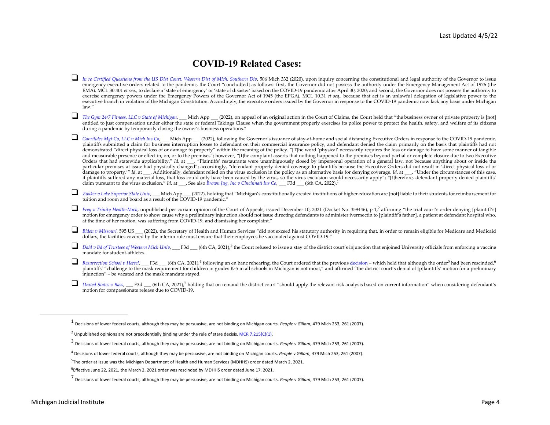# **COVID-19 Related Cases:**

- *[In re Certified Questions from the US Dist Court, Western Dist of Mich, Southern Div](https://www.courts.michigan.gov/4a4f33/siteassets/case-documents/uploads/sct/public/orders/161492_52_01.pdf)*, 506 Mich 332 (2020), upon inquiry concerning the constitutional and legal authority of the Governor to issue emergency executive orders related to the pandemic, the Court "conclud[ed] as follows: first, the Governor did not possess the authority under the Emergency Management Act of 1976 (the EMA), MCL 30.401 *et seq*., to declare a 'state of emergency' or 'state of disaster' based on the COVID-19 pandemic after April 30, 2020; and second, the Governor does not possess the authority to exercise emergency powers under the Emergency Powers of the Governor Act of 1945 (the EPGA), MCL 10.31 *et seq.*, because that act is an unlawful delegation of legislative power to the executive branch in violation of the Michigan Constitution. Accordingly, the executive orders issued by the Governor in response to the COVID-19 pandemic now lack any basis under Michigan law."
- *[The Gym 24/7 Fitness, LLC v State of Michigan](https://www.courts.michigan.gov/495f9c/siteassets/case-documents/uploads/opinions/final/coa/20220331_c355148_53_355148.opn.pdf)*, \_\_\_ Mich App \_\_\_ (2022), on appeal of an original action in the Court of Claims, the Court held that "the business owner of private property is [not] entitled to just compensation under either the state or federal Takings Clause when the government properly exercises its police power to protect the health, safety, and welfare of its citizens during a pandemic by temporarily closing the owner's business operations."

 *[Gavrilides Mgt Co, LLC v Mich Ins Co](https://www.courts.michigan.gov/48fce1/siteassets/case-documents/uploads/opinions/final/coa/20220201_c354418_115_354418.opn.pdf)*, \_\_\_ Mich App \_\_\_ (2022), following the Governor's issuance of stay-at-home and social distancing Executive Orders in response to the COVID-19 pandemic, plaintiffs submitted a claim for business interruption losses to defendant on their commercial insurance policy, and defendant denied the claim primarily on the basis that plaintiffs had not<br>demonstrated "direct physical l and measurable presence or effect in, on, or to the premises"; however, "[t]he complaint asserts that nothing happened to the premises beyond partial or complete closure due to two Executive Orders that had statewide applicability." Id. at \_\_\_. "Plaintiffs' restaurants were unambiguously closed by impersonal operation of a general law, not because anything about or inside the<br>particular premises at issue had p damage to property.'" *Id.* at . Additionally, defendant relied on the virus exclusion in the policy as an alternative basis for denying coverage. *Id.* at . "Under the circumstances of this case, if plaintiffs suffered any material loss, that loss could only have been caused by the virus, so the virus exclusion would necessarily apply"; "[t]herefore, defendant properly denied plaintiffs' claim pursuant to the virus exclusion." *Id*. at \_\_\_. See also *[Brown Jug, Inc v Cincinnati Ins Co](https://www.opn.ca6.uscourts.gov/opinions.pdf/22a0034p-06.pdf)*, \_\_\_ F3d \_\_\_ (6th CA, 2022).<sup>1</sup>

■ *[Zwiker v Lake Superior State Univ](https://www.courts.michigan.gov/490f72/siteassets/case-documents/uploads/opinions/final/coa/20220210_c355128_46_355128.opn.pdf)*, \_\_\_ Mich App \_\_\_ (2022), holding that "Michigan's constitutionally created institutions of higher education are [not] liable to their students for reimbursement for tuition and room and board as a result of the  $\overline{\text{COVID-19}}$  pandemic."

**T** [Frey v Trinity Health-Mich](https://www.courts.michigan.gov/siteassets/case-documents/uploads/OPINIONS/FINAL/COA/20211210_C359446_39_359446.OPN.PDF), unpublished per curiam opinion of the Court of Appeals, issued December 10, 2021 (Docket No. 359446), p 1,<sup>2</sup> affirming "the trial court's order denying [plaintiff's] motion for emergency order to show cause why a preliminary injunction should not issue directing defendants to administer ivermectin to [plaintiff's father], a patient at defendant hospital who, at the time of her motion, was suffering from COVID-19, and dismissing her complaint."

- [Biden v Missouri](https://www.supremecourt.gov/opinions/21pdf/21a240_d18e.pdf), 595 US <sub>c</sub> (2022), the Secretary of Health and Human Services "did not exceed his statutory authority in requiring that, in order to remain eligible for Medicare and Medicaid dollars, the facilities covered by the interim rule must ensure that their employees be vaccinated against COVID-19."
- *[Dahl v Bd of Trustees of Western Mich Univ](https://cases.justia.com/federal/appellate-courts/ca6/21-2945/21-2945-2021-10-07.pdf?ts=1633626017)*, \_\_\_ F3d \_\_\_ (6th CA, 2021),<sup>3</sup> the Court refused to issue a stay of the district court's injunction that enjoined University officials from enforcing a vaccine mandate for student-athletes.
- $\Box$ *[Resurrection School v Hertel](https://www.opn.ca6.uscourts.gov/opinions.pdf/21a0258p-06.pdf)*, \_\_\_ F3d \_\_\_ (6th CA, 2021),<sup>4</sup> following an en banc rehearing, the Court ordered that the previous [decision](https://www.opn.ca6.uscourts.gov/opinions.pdf/21a0191p-06.pdf) – which held that although the order<sup>5</sup> had been rescinded,<sup>6</sup> plaintiffs' "challenge to the mask requirement for children in grades K-5 in all schools in Michigan is not moot," and affirmed "the district court's denial of [p]laintiffs' motion for a preliminary injunction" – be vacated and the mask mandate stayed.
- *[United States v Bass](https://www.opn.ca6.uscourts.gov/opinions.pdf/21a0249p-06.pdf)*, <sub>■</sub>F3d <sub>■</sub> (6th CA, 2021),<sup>7</sup> holding that on remand the district court "should apply the relevant risk analysis based on current information" when considering defendant's motion for compassionate release due to COVID-19.

<sup>1</sup> Decisions of lower federal courts, although they may be persuasive, are not binding on Michigan courts. *People v Gillam*, 479 Mich 253, 261 (2007).

<sup>&</sup>lt;sup>2</sup> Unpublished opinions are not precedentially binding under the rule of stare decisis. [MCR 7.215\(C\)\(1\)](https://courts.michigan.gov/siteassets/rules-instructions-administrative-orders/michigan-court-rules/court-rules-book-ch-7-responsive-html5.zip/index.html).

<sup>3</sup> Decisions of lower federal courts, although they may be persuasive, are not binding on Michigan courts. *People v Gillam*, 479 Mich 253, 261 (2007).

<sup>4</sup> Decisions of lower federal courts, although they may be persuasive, are not binding on Michigan courts. *People v Gillam*, 479 Mich 253, 261 (2007).

<sup>5</sup>The order at issue was the Michigan Department of Health and Human Services (MDHHS) order dated March 2, 2021.

<sup>6</sup>Effective June 22, 2021, the March 2, 2021 order was rescinded by MDHHS order dated June 17, 2021.

<sup>7</sup> Decisions of lower federal courts, although they may be persuasive, are not binding on Michigan courts. *People v Gillam*, 479 Mich 253, 261 (2007).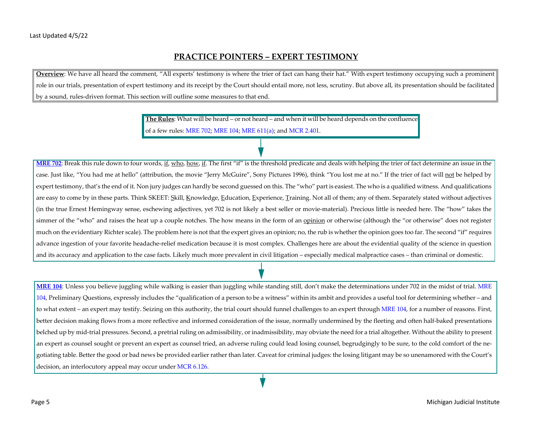### **PRACTICE POINTERS – EXPERT TESTIMONY**

**Overview**: We have all heard the comment, "All experts' testimony is where the trier of fact can hang their hat." With expert testimony occupying such a prominent role in our trials, presentation of expert testimony and its receipt by the Court should entail more, not less, scrutiny. But above all, its presentation should be facilitated by a sound, rules-driven format. This section will outline some measures to that end.

> **The Rules**: What will be heard – or not heard – and when it will be heard depends on the confluence of a few rules: [MRE 702](https://courts.michigan.gov/siteassets/rules-instructions-administrative-orders/rules-of-evidence/michigan-rules-of-evidence.pdf); [MRE 104; MRE 611\(a\)](https://courts.michigan.gov/siteassets/rules-instructions-administrative-orders/rules-of-evidence/michigan-rules-of-evidence.pdf); and [MCR 2.401](https://courts.michigan.gov/siteassets/rules-instructions-administrative-orders/michigan-court-rules/court-rules-book-ch-2-responsive-html5.zip/index.html).

**[MRE 702](https://courts.michigan.gov/siteassets/rules-instructions-administrative-orders/rules-of-evidence/michigan-rules-of-evidence.pdf)**: Break this rule down to four words, if, who, how, if. The first "if" is the threshold predicate and deals with helping the trier of fact determine an issue in the case. Just like, "You had me at hello" (attribution, the movie "Jerry McGuire", Sony Pictures 1996), think "You lost me at no." If the trier of fact will not be helped by expert testimony, that's the end of it. Non jury judges can hardly be second guessed on this. The "who" part is easiest. The who is a qualified witness. And qualifications are easy to come by in these parts. Think SKEET: Skill, Knowledge, Education, Experience, Training. Not all of them; any of them. Separately stated without adjectives (in the true Ernest Hemingway sense, eschewing adjectives, yet 702 is not likely a best seller or movie-material). Precious little is needed here. The "how" takes the simmer of the "who" and raises the heat up a couple notches. The how means in the form of an opinion or otherwise (although the "or otherwise" does not register much on the evidentiary Richter scale). The problem here is not that the expert gives an opinion; no, the rub is whether the opinion goes too far. The second "if" requires advance ingestion of your favorite headache-relief medication because it is most complex. Challenges here are about the evidential quality of the science in question and its accuracy and application to the case facts. Likely much more prevalent in civil litigation – especially medical malpractice cases – than criminal or domestic.

**[MRE 104](https://courts.michigan.gov/siteassets/rules-instructions-administrative-orders/rules-of-evidence/michigan-rules-of-evidence.pdf)**: Unless you believe juggling while walking is easier than juggling while standing still, don't make the determinations under 702 in the midst of trial. [MRE](https://courts.michigan.gov/siteassets/rules-instructions-administrative-orders/rules-of-evidence/michigan-rules-of-evidence.pdf) [104,](https://courts.michigan.gov/siteassets/rules-instructions-administrative-orders/rules-of-evidence/michigan-rules-of-evidence.pdf) Preliminary Questions, expressly includes the "qualification of a person to be a witness" within its ambit and provides a useful tool for determining whether – and to what extent – an expert may testify. Seizing on this authority, the trial court should funnel challenges to an expert through [MRE 104](https://courts.michigan.gov/siteassets/rules-instructions-administrative-orders/rules-of-evidence/michigan-rules-of-evidence.pdf), for a number of reasons. First, better decision making flows from a more reflective and informed consideration of the issue, normally undermined by the fleeting and often half-baked presentations belched up by mid-trial pressures. Second, a pretrial ruling on admissibility, or inadmissibility, may obviate the need for a trial altogether. Without the ability to present an expert as counsel sought or prevent an expert as counsel tried, an adverse ruling could lead losing counsel, begrudgingly to be sure, to the cold comfort of the negotiating table. Better the good or bad news be provided earlier rather than later. Caveat for criminal judges: the losing litigant may be so unenamored with the Court's decision, an interlocutory appeal may occur under [MCR 6.126](https://courts.michigan.gov/siteassets/rules-instructions-administrative-orders/michigan-court-rules/court-rules-book-ch-6-responsive-html5.zip/index.html).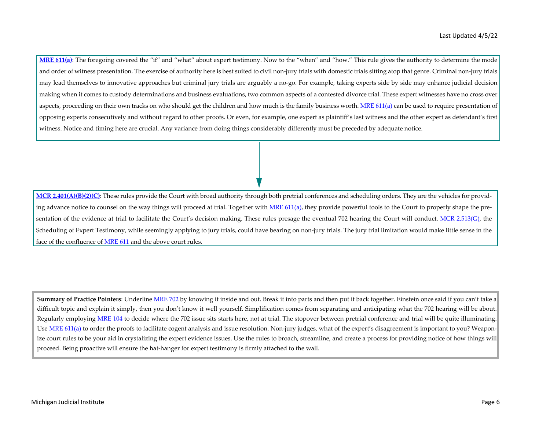**[MRE 611\(a\)](https://courts.michigan.gov/siteassets/rules-instructions-administrative-orders/rules-of-evidence/michigan-rules-of-evidence.pdf)**: The foregoing covered the "if" and "what" about expert testimony. Now to the "when" and "how." This rule gives the authority to determine the mode and order of witness presentation. The exercise of authority here is best suited to civil non-jury trials with domestic trials sitting atop that genre. Criminal non-jury trials may lead themselves to innovative approaches but criminal jury trials are arguably a no-go. For example, taking experts side by side may enhance judicial decision making when it comes to custody determinations and business evaluations, two common aspects of a contested divorce trial. These expert witnesses have no cross over aspects, proceeding on their own tracks on who should get the children and how much is the family business worth. MRE  $611(a)$  can be used to require presentation of opposing experts consecutively and without regard to other proofs. Or even, for example, one expert as plaintiff's last witness and the other expert as defendant's first witness. Notice and timing here are crucial. Any variance from doing things considerably differently must be preceded by adequate notice.

[MCR 2.401\(A\)\(B\)\(2\)\(C\)](https://courts.michigan.gov/siteassets/rules-instructions-administrative-orders/michigan-court-rules/court-rules-book-ch-2-responsive-html5.zip/index.html): These rules provide the Court with broad authority through both pretrial conferences and scheduling orders. They are the vehicles for provid-ing advance notice to counsel on the way things will proceed at trial. Together with [MRE 611\(a\)](https://courts.michigan.gov/siteassets/rules-instructions-administrative-orders/rules-of-evidence/michigan-rules-of-evidence.pdf), they provide powerful tools to the Court to properly shape the pre-sentation of the evidence at trial to facilitate the Court's decision making. These rules presage the eventual 702 hearing the Court will conduct. [MCR 2.513\(G\),](https://courts.michigan.gov/siteassets/rules-instructions-administrative-orders/michigan-court-rules/court-rules-book-ch-2-responsive-html5.zip/index.html) the Scheduling of Expert Testimony, while seemingly applying to jury trials, could have bearing on non-jury trials. The jury trial limitation would make little sense in the face of the confluence of [MRE 611](https://courts.michigan.gov/siteassets/rules-instructions-administrative-orders/rules-of-evidence/michigan-rules-of-evidence.pdf) and the above court rules.

**Summary of Practice Pointers**: Underline [MRE 702](https://courts.michigan.gov/siteassets/rules-instructions-administrative-orders/rules-of-evidence/michigan-rules-of-evidence.pdf) by knowing it inside and out. Break it into parts and then put it back together. Einstein once said if you can't take a difficult topic and explain it simply, then you don't know it well yourself. Simplification comes from separating and anticipating what the 702 hearing will be about. Regularly employing [MRE 104](https://courts.michigan.gov/siteassets/rules-instructions-administrative-orders/rules-of-evidence/michigan-rules-of-evidence.pdf) to decide where the 702 issue sits starts here, not at trial. The stopover between pretrial conference and trial will be quite illuminating. Use [MRE 611\(a\)](https://courts.michigan.gov/siteassets/rules-instructions-administrative-orders/rules-of-evidence/michigan-rules-of-evidence.pdf) to order the proofs to facilitate cogent analysis and issue resolution. Non-jury judges, what of the expert's disagreement is important to you? Weaponize court rules to be your aid in crystalizing the expert evidence issues. Use the rules to broach, streamline, and create a process for providing notice of how things will proceed. Being proactive will ensure the hat-hanger for expert testimony is firmly attached to the wall.